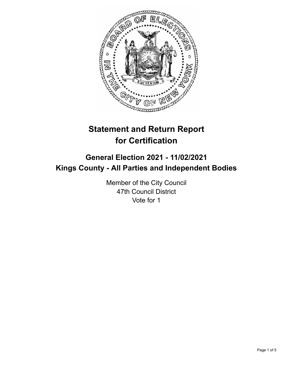

# **Statement and Return Report for Certification**

## **General Election 2021 - 11/02/2021 Kings County - All Parties and Independent Bodies**

Member of the City Council 47th Council District Vote for 1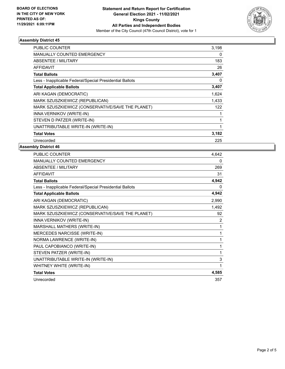

### **Assembly District 45**

| PUBLIC COUNTER                                           | 3,198        |
|----------------------------------------------------------|--------------|
| <b>MANUALLY COUNTED EMERGENCY</b>                        | 0            |
| <b>ABSENTEE / MILITARY</b>                               | 183          |
| <b>AFFIDAVIT</b>                                         | 26           |
| <b>Total Ballots</b>                                     | 3,407        |
| Less - Inapplicable Federal/Special Presidential Ballots | 0            |
| <b>Total Applicable Ballots</b>                          | 3,407        |
| ARI KAGAN (DEMOCRATIC)                                   | 1,624        |
| MARK SZUSZKIEWICZ (REPUBLICAN)                           | 1,433        |
| MARK SZUSZKIEWICZ (CONSERVATIVE/SAVE THE PLANET)         | 122          |
| <b>INNA VERNIKOV (WRITE-IN)</b>                          | 1            |
| STEVEN D PATZER (WRITE-IN)                               | $\mathbf{1}$ |
| UNATTRIBUTABLE WRITE-IN (WRITE-IN)                       | $\mathbf{1}$ |
| <b>Total Votes</b>                                       | 3,182        |
| Unrecorded                                               | 225          |

### **Assembly District 46**

| <b>PUBLIC COUNTER</b>                                    | 4,642 |
|----------------------------------------------------------|-------|
| MANUALLY COUNTED EMERGENCY                               | 0     |
| ABSENTEE / MILITARY                                      | 269   |
| <b>AFFIDAVIT</b>                                         | 31    |
| <b>Total Ballots</b>                                     | 4,942 |
| Less - Inapplicable Federal/Special Presidential Ballots | 0     |
| <b>Total Applicable Ballots</b>                          | 4,942 |
| ARI KAGAN (DEMOCRATIC)                                   | 2,990 |
| MARK SZUSZKIEWICZ (REPUBLICAN)                           | 1,492 |
| MARK SZUSZKIEWICZ (CONSERVATIVE/SAVE THE PLANET)         | 92    |
| INNA VERNIKOV (WRITE-IN)                                 | 2     |
| MARSHALL MATHERS (WRITE-IN)                              | 1     |
| MERCEDES NARCISSE (WRITE-IN)                             | 1     |
| NORMA LAWRENCE (WRITE-IN)                                | 1     |
| PAUL CAPOBIANCO (WRITE-IN)                               | 1     |
| STEVEN PATZER (WRITE-IN)                                 | 1     |
| UNATTRIBUTABLE WRITE-IN (WRITE-IN)                       | 3     |
| WHITNEY WHITE (WRITE-IN)                                 | 1     |
| <b>Total Votes</b>                                       | 4,585 |
| Unrecorded                                               | 357   |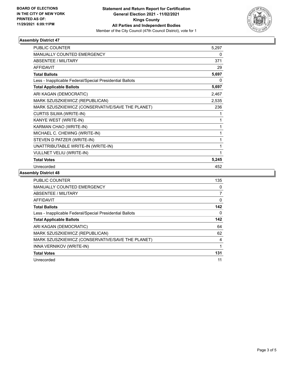

### **Assembly District 47**

| <b>PUBLIC COUNTER</b>                                    | 5,297 |
|----------------------------------------------------------|-------|
| <b>MANUALLY COUNTED EMERGENCY</b>                        | 0     |
| <b>ABSENTEE / MILITARY</b>                               | 371   |
| <b>AFFIDAVIT</b>                                         | 29    |
| <b>Total Ballots</b>                                     | 5,697 |
| Less - Inapplicable Federal/Special Presidential Ballots | 0     |
| <b>Total Applicable Ballots</b>                          | 5,697 |
| ARI KAGAN (DEMOCRATIC)                                   | 2,467 |
| MARK SZUSZKIEWICZ (REPUBLICAN)                           | 2,535 |
| MARK SZUSZKIEWICZ (CONSERVATIVE/SAVE THE PLANET)         | 236   |
| CURTIS SILWA (WRITE-IN)                                  | 1     |
| KANYE WEST (WRITE-IN)                                    | 1     |
| KARMAN CHAO (WRITE-IN)                                   | 1     |
| MICHAEL C. CHEWNG (WRITE-IN)                             | 1     |
| STEVEN D PATZER (WRITE-IN)                               | 1     |
| UNATTRIBUTABLE WRITE-IN (WRITE-IN)                       | 1     |
| VULLNET VELIU (WRITE-IN)                                 | 1     |
| <b>Total Votes</b>                                       | 5,245 |
| Unrecorded                                               | 452   |

#### **Assembly District 48**

| PUBLIC COUNTER                                           | 135            |
|----------------------------------------------------------|----------------|
| <b>MANUALLY COUNTED EMERGENCY</b>                        | 0              |
| ABSENTEE / MILITARY                                      | $\overline{7}$ |
| <b>AFFIDAVIT</b>                                         | 0              |
| <b>Total Ballots</b>                                     | 142            |
| Less - Inapplicable Federal/Special Presidential Ballots | 0              |
| <b>Total Applicable Ballots</b>                          | 142            |
| ARI KAGAN (DEMOCRATIC)                                   | 64             |
| MARK SZUSZKIEWICZ (REPUBLICAN)                           | 62             |
| MARK SZUSZKIEWICZ (CONSERVATIVE/SAVE THE PLANET)         | 4              |
| INNA VERNIKOV (WRITE-IN)                                 |                |
| <b>Total Votes</b>                                       | 131            |
| Unrecorded                                               | 11             |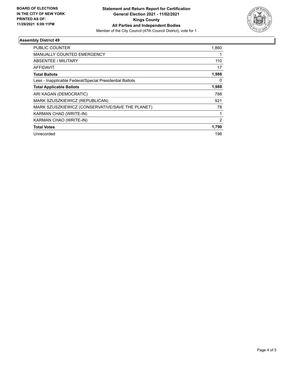

### **Assembly District 49**

| PUBLIC COUNTER                                           | 1,860 |
|----------------------------------------------------------|-------|
| <b>MANUALLY COUNTED EMERGENCY</b>                        |       |
| <b>ABSENTEE / MILITARY</b>                               | 110   |
| <b>AFFIDAVIT</b>                                         | 17    |
| <b>Total Ballots</b>                                     | 1,988 |
| Less - Inapplicable Federal/Special Presidential Ballots | 0     |
| <b>Total Applicable Ballots</b>                          | 1,988 |
| ARI KAGAN (DEMOCRATIC)                                   | 788   |
| MARK SZUSZKIEWICZ (REPUBLICAN)                           | 921   |
| MARK SZUSZKIEWICZ (CONSERVATIVE/SAVE THE PLANET)         | 78    |
| KARMAN CHAD (WRITE-IN)                                   |       |
| KARMAN CHAO (WRITE-IN)                                   | 2     |
| <b>Total Votes</b>                                       | 1,790 |
| Unrecorded                                               | 198   |